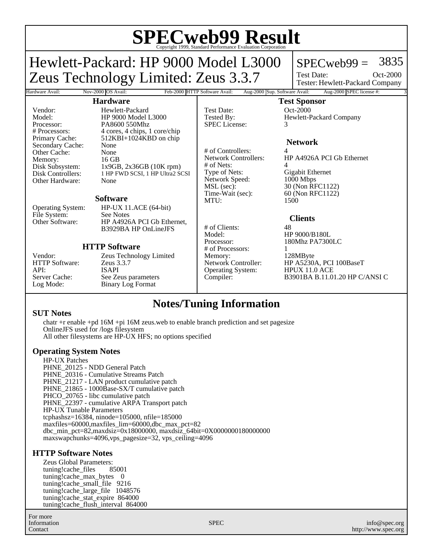# **SPECweb99 Result** Copyright 1999, Standard Performance Evaluation Corporation

Hardware Avail: Nov-2000 OS Avail: Feb-2000 HTTP Software Avail: Aug-2000 Sup. Software Avail: Aug-2000 SPEC license #:

Hewlett-Packard: HP 9000 Model L3000 Zeus Technology Limited: Zeus 3.3.7

# $SPECweb99 = 3835$

Test Date: Tester: Hewlett-Packard Company Oct-2000

### **Hardware**

Vendor: Hewlett-Packard<br>Model: HP 9000 Model I Model: HP 9000 Model L3000<br>Processor: PA8600 550Mhz Processor: PA8600 550Mhz<br># Processors: 4 cores. 4 chips. 1 4 cores, 4 chips, 1 core/chip Primary Cache: 512KBI+1024KBD on chip Secondary Cache: None Other Cache: None<br>
Memory: 16 GB Disk Subsystem: 1x9GB, 2x36GB (10K rpm)<br>Disk Controllers: 1 HP FWD SCSI, 1 HP Ultra2 S 1 HP FWD SCSI, 1 HP Ultra2 SCSI Other Hardware: None

#### **Software**

Operating System: HP-UX 11.ACE (64-bit) File System: See Notes<br>Other Software: HP A4926 HP A4926A PCI Gb Ethernet, B3929BA HP OnLineJFS

## **HTTP Software**

HTTP Software: Zeus 3.3.7 API: ISAPI<br>Server Cache: See Ze

Memory:<br>Disk Subsystem:

Vendor: Zeus Technology Limited Server Cache: See Zeus parameters<br>
Log Mode: Binary Log Format Binary Log Format

Test Date: 0ct-2000 Tested By: Hewlett-Packard Company SPEC License: 3

# of Controllers: 4 # of Nets: 4<br>Type of Nets: 6 Network Speed:<br>MSL (sec): MSL (sec): 30 (Non RFC1122)<br>Time-Wait (sec): 60 (Non RFC1122) MTU: 1500

# of Clients: 48 Model: HP 9000/B180L<br>Processor: 180Mhz PA7300 # of Processors: 1<br>Memory: 1 Memory: 128MByte<br>Network Controller: HP A5230/ Operating System:

**Network**

HP A4926A PCI Gb Ethernet Gigabit Ethernet<br>1000 Mbps 60 (Non RFC1122)

## **Clients**

**Test Sponsor**

180Mhz PA7300LC

HP A5230A, PCI 100BaseT<br>HPUX 11.0 ACE Compiler: B3901BA B.11.01.20 HP C/ANSI C

# **Notes/Tuning Information**

#### **SUT Notes**

chatr +r enable +pd 16M +pi 16M zeus.web to enable branch prediction and set pagesize OnlineJFS used for /logs filesystem All other filesystems are HP-UX HFS; no options specified

## **Operating System Notes**

HP-UX Patches PHNE 20125 - NDD General Patch PHNE\_20316 - Cumulative Streams Patch PHNE\_21217 - LAN product cumulative patch PHNE\_21865 - 1000Base-SX/T cumulative patch PHCO\_20765 - libc cumulative patch PHNE\_22397 - cumulative ARPA Transport patch HP-UX Tunable Parameters tcphashsz=16384, ninode=105000, nfile=185000 maxfiles=60000,maxfiles\_lim=60000,dbc\_max\_pct=82 dbc\_min\_pct=82,maxdsiz=0x18000000, maxdsiz\_64bit=0X0000000180000000 maxswapchunks=4096,vps\_pagesize=32, vps\_ceiling=4096

## **HTTP Software Notes**

Zeus Global Parameters: tuning!cache\_files 85001 tuning!cache\_max\_bytes 0 tuning!cache\_small\_file 9216 tuning!cache\_large\_file 1048576 tuning!cache\_stat\_expire 864000 tuning!cache\_flush\_interval 864000

For more Information Contact